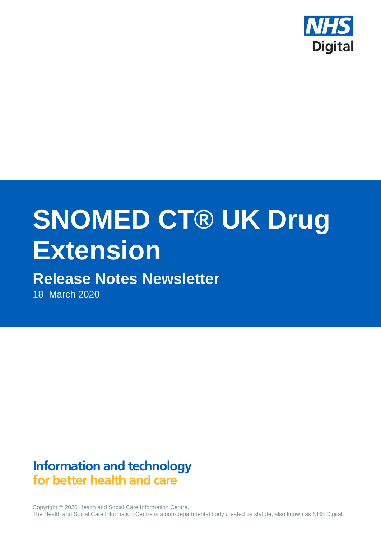

# **SNOMED CT® UK Drug Extension**

# **Release Notes Newsletter**

18 March 2020

## **Information and technology** for better health and care

Copyright © 2020 Health and Social Care Information Centre. The Health and Social Care Information Centre is a non-departmental body created by statute, also known as NHS Digital.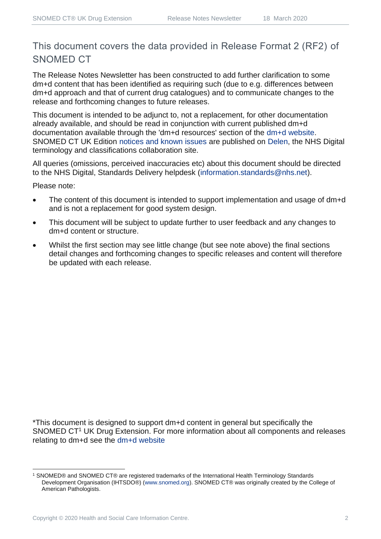## This document covers the data provided in Release Format 2 (RF2) of SNOMED CT

The Release Notes Newsletter has been constructed to add further clarification to some dm+d content that has been identified as requiring such (due to e.g. differences between dm+d approach and that of current drug catalogues) and to communicate changes to the release and forthcoming changes to future releases.

This document is intended to be adjunct to, not a replacement, for other documentation already available, and should be read in conjunction with current published dm+d documentation available through the 'dm+d resources' section of the [dm+d website.](https://www.nhsbsa.nhs.uk/pharmacies-gp-practices-and-appliance-contractors/dictionary-medicines-and-devices-dmd) SNOMED CT UK Edition [notices and known issues](https://hscic.kahootz.com/connect.ti/t_c_home/view?objectId=14224752) are published on [Delen,](https://hscic.kahootz.com/connect.ti/t_c_home) the NHS Digital terminology and classifications collaboration site.

All queries (omissions, perceived inaccuracies etc) about this document should be directed to the NHS Digital, Standards Delivery helpdesk [\(information.standards@nhs.net\)](mailto:information.standards@nhs.net).

Please note:

- The content of this document is intended to support implementation and usage of dm+d and is not a replacement for good system design.
- This document will be subject to update further to user feedback and any changes to dm+d content or structure.
- Whilst the first section may see little change (but see note above) the final sections detail changes and forthcoming changes to specific releases and content will therefore be updated with each release.

\*This document is designed to support dm+d content in general but specifically the SNOMED CT<sup>1</sup> UK Drug Extension. For more information about all components and releases relating to dm+d see the [dm+d website](https://www.nhsbsa.nhs.uk/pharmacies-gp-practices-and-appliance-contractors/dictionary-medicines-and-devices-dmd)

<sup>1</sup> SNOMED® and SNOMED CT® are registered trademarks of the International Health Terminology Standards Development Organisation (IHTSDO®) [\(www.snomed.org\)](http://www.snomed.org/). SNOMED CT® was originally created by the College of American Pathologists.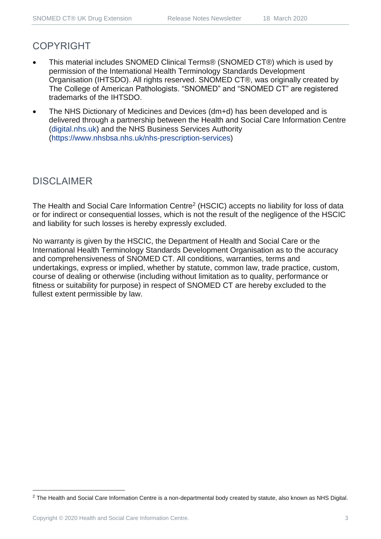### COPYRIGHT

- This material includes SNOMED Clinical Terms® (SNOMED CT®) which is used by permission of the International Health Terminology Standards Development Organisation (IHTSDO). All rights reserved. SNOMED CT®, was originally created by The College of American Pathologists. "SNOMED" and "SNOMED CT" are registered trademarks of the IHTSDO.
- The NHS Dictionary of Medicines and Devices (dm+d) has been developed and is delivered through a partnership between the Health and Social Care Information Centre [\(digital.nhs.uk\)](https://digital.nhs.uk/) and the NHS Business Services Authority [\(https://www.nhsbsa.nhs.uk/nhs-prescription-services\)](https://www.nhsbsa.nhs.uk/nhs-prescription-services)

#### DISCLAIMER

The Health and Social Care Information Centre<sup>2</sup> (HSCIC) accepts no liability for loss of data or for indirect or consequential losses, which is not the result of the negligence of the HSCIC and liability for such losses is hereby expressly excluded.

No warranty is given by the HSCIC, the Department of Health and Social Care or the International Health Terminology Standards Development Organisation as to the accuracy and comprehensiveness of SNOMED CT. All conditions, warranties, terms and undertakings, express or implied, whether by statute, common law, trade practice, custom, course of dealing or otherwise (including without limitation as to quality, performance or fitness or suitability for purpose) in respect of SNOMED CT are hereby excluded to the fullest extent permissible by law.

<sup>&</sup>lt;sup>2</sup> The Health and Social Care Information Centre is a non-departmental body created by statute, also known as NHS Digital.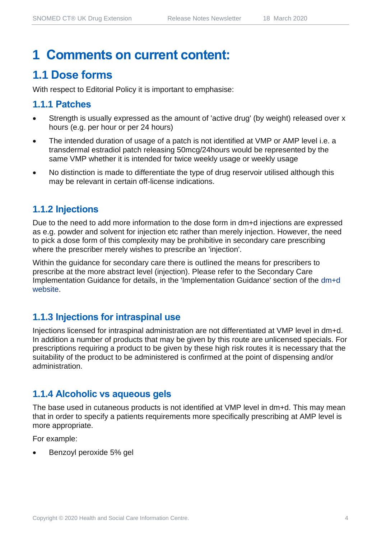# **1 Comments on current content:**

## **1.1 Dose forms**

With respect to Editorial Policy it is important to emphasise:

#### **1.1.1 Patches**

- Strength is usually expressed as the amount of 'active drug' (by weight) released over x hours (e.g. per hour or per 24 hours)
- The intended duration of usage of a patch is not identified at VMP or AMP level i.e. a transdermal estradiol patch releasing 50mcg/24hours would be represented by the same VMP whether it is intended for twice weekly usage or weekly usage
- No distinction is made to differentiate the type of drug reservoir utilised although this may be relevant in certain off-license indications.

#### **1.1.2 Injections**

Due to the need to add more information to the dose form in dm+d injections are expressed as e.g. powder and solvent for injection etc rather than merely injection. However, the need to pick a dose form of this complexity may be prohibitive in secondary care prescribing where the prescriber merely wishes to prescribe an 'injection'.

Within the guidance for secondary care there is outlined the means for prescribers to prescribe at the more abstract level (injection). Please refer to the Secondary Care Implementation Guidance for details, in the 'Implementation Guidance' section of the [dm+d](https://www.nhsbsa.nhs.uk/pharmacies-gp-practices-and-appliance-contractors/dictionary-medicines-and-devices-dmd)  [website.](https://www.nhsbsa.nhs.uk/pharmacies-gp-practices-and-appliance-contractors/dictionary-medicines-and-devices-dmd)

#### **1.1.3 Injections for intraspinal use**

Injections licensed for intraspinal administration are not differentiated at VMP level in dm+d. In addition a number of products that may be given by this route are unlicensed specials. For prescriptions requiring a product to be given by these high risk routes it is necessary that the suitability of the product to be administered is confirmed at the point of dispensing and/or administration.

#### **1.1.4 Alcoholic vs aqueous gels**

The base used in cutaneous products is not identified at VMP level in dm+d. This may mean that in order to specify a patients requirements more specifically prescribing at AMP level is more appropriate.

For example:

• Benzoyl peroxide 5% gel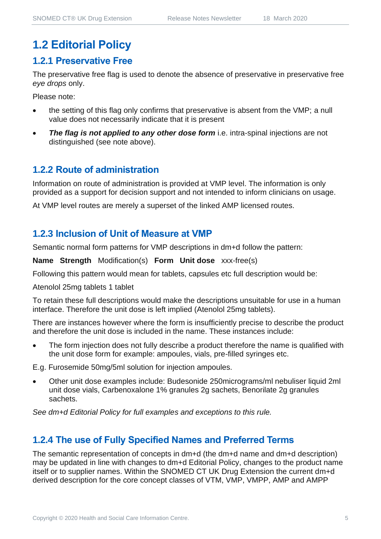## **1.2 Editorial Policy**

#### **1.2.1 Preservative Free**

The preservative free flag is used to denote the absence of preservative in preservative free *eye drops* only.

Please note:

- the setting of this flag only confirms that preservative is absent from the VMP; a null value does not necessarily indicate that it is present
- *The flag is not applied to any other dose form* i.e. intra-spinal injections are not distinguished (see note above).

#### **1.2.2 Route of administration**

Information on route of administration is provided at VMP level. The information is only provided as a support for decision support and not intended to inform clinicians on usage.

At VMP level routes are merely a superset of the linked AMP licensed routes.

#### **1.2.3 Inclusion of Unit of Measure at VMP**

Semantic normal form patterns for VMP descriptions in dm+d follow the pattern:

**Name Strength** Modification(s) **Form Unit dose** xxx-free(s)

Following this pattern would mean for tablets, capsules etc full description would be:

Atenolol 25mg tablets 1 tablet

To retain these full descriptions would make the descriptions unsuitable for use in a human interface. Therefore the unit dose is left implied (Atenolol 25mg tablets).

There are instances however where the form is insufficiently precise to describe the product and therefore the unit dose is included in the name. These instances include:

• The form injection does not fully describe a product therefore the name is qualified with the unit dose form for example: ampoules, vials, pre-filled syringes etc.

E.g. Furosemide 50mg/5ml solution for injection ampoules.

• Other unit dose examples include: Budesonide 250micrograms/ml nebuliser liquid 2ml unit dose vials, Carbenoxalone 1% granules 2g sachets, Benorilate 2g granules sachets.

*See dm+d Editorial Policy for full examples and exceptions to this rule.*

### **1.2.4 The use of Fully Specified Names and Preferred Terms**

The semantic representation of concepts in dm+d (the dm+d name and dm+d description) may be updated in line with changes to dm+d Editorial Policy, changes to the product name itself or to supplier names. Within the SNOMED CT UK Drug Extension the current dm+d derived description for the core concept classes of VTM, VMP, VMPP, AMP and AMPP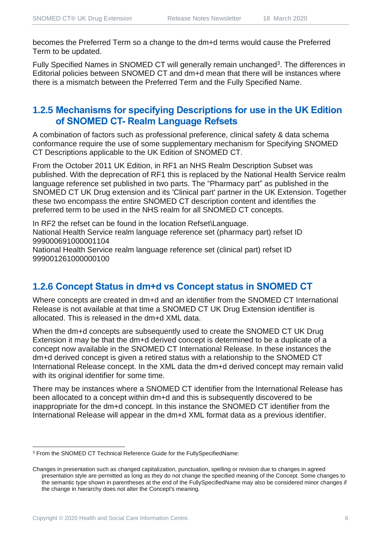becomes the Preferred Term so a change to the dm+d terms would cause the Preferred Term to be updated.

Fully Specified Names in SNOMED CT will generally remain unchanged<sup>3</sup>. The differences in Editorial policies between SNOMED CT and dm+d mean that there will be instances where there is a mismatch between the Preferred Term and the Fully Specified Name.

#### **1.2.5 Mechanisms for specifying Descriptions for use in the UK Edition of SNOMED CT- Realm Language Refsets**

A combination of factors such as professional preference, clinical safety & data schema conformance require the use of some supplementary mechanism for Specifying SNOMED CT Descriptions applicable to the UK Edition of SNOMED CT.

From the October 2011 UK Edition, in RF1 an NHS Realm Description Subset was published. With the deprecation of RF1 this is replaced by the National Health Service realm language reference set published in two parts. The "Pharmacy part" as published in the SNOMED CT UK Drug extension and its 'Clinical part' partner in the UK Extension. Together these two encompass the entire SNOMED CT description content and identifies the preferred term to be used in the NHS realm for all SNOMED CT concepts.

In RF2 the refset can be found in the location Refset\Language. National Health Service realm language reference set (pharmacy part) refset ID 999000691000001104 National Health Service realm language reference set (clinical part) refset ID 999001261000000100

#### **1.2.6 Concept Status in dm+d vs Concept status in SNOMED CT**

Where concepts are created in dm+d and an identifier from the SNOMED CT International Release is not available at that time a SNOMED CT UK Drug Extension identifier is allocated. This is released in the dm+d XML data.

When the dm+d concepts are subsequently used to create the SNOMED CT UK Drug Extension it may be that the dm+d derived concept is determined to be a duplicate of a concept now available in the SNOMED CT International Release. In these instances the dm+d derived concept is given a retired status with a relationship to the SNOMED CT International Release concept. In the XML data the dm+d derived concept may remain valid with its original identifier for some time.

There may be instances where a SNOMED CT identifier from the International Release has been allocated to a concept within dm+d and this is subsequently discovered to be inappropriate for the dm+d concept. In this instance the SNOMED CT identifier from the International Release will appear in the dm+d XML format data as a previous identifier.

<sup>&</sup>lt;sup>3</sup> From the SNOMED CT Technical Reference Guide for the FullySpecifiedName:

Changes in presentation such as changed capitalization, punctuation, spelling or revision due to changes in agreed presentation style are permitted as long as they do not change the specified meaning of the Concept. Some changes to the semantic type shown in parentheses at the end of the FullySpecifiedName may also be considered minor changes if the change in hierarchy does not alter the Concept's meaning.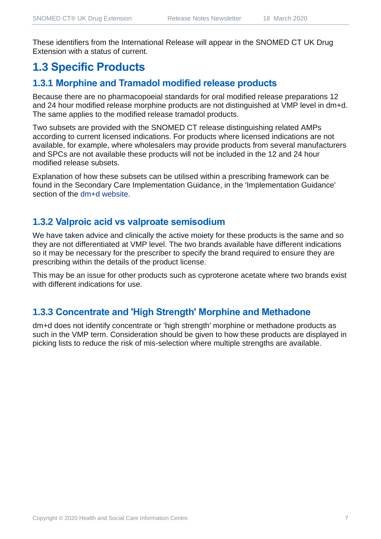These identifiers from the International Release will appear in the SNOMED CT UK Drug Extension with a status of current.

## **1.3 Specific Products**

## **1.3.1 Morphine and Tramadol modified release products**

Because there are no pharmacopoeial standards for oral modified release preparations 12 and 24 hour modified release morphine products are not distinguished at VMP level in dm+d. The same applies to the modified release tramadol products.

Two subsets are provided with the SNOMED CT release distinguishing related AMPs according to current licensed indications. For products where licensed indications are not available, for example, where wholesalers may provide products from several manufacturers and SPCs are not available these products will not be included in the 12 and 24 hour modified release subsets.

Explanation of how these subsets can be utilised within a prescribing framework can be found in the Secondary Care Implementation Guidance, in the 'Implementation Guidance' section of the [dm+d website.](https://www.nhsbsa.nhs.uk/pharmacies-gp-practices-and-appliance-contractors/dictionary-medicines-and-devices-dmd)

#### **1.3.2 Valproic acid vs valproate semisodium**

We have taken advice and clinically the active moiety for these products is the same and so they are not differentiated at VMP level. The two brands available have different indications so it may be necessary for the prescriber to specify the brand required to ensure they are prescribing within the details of the product license.

This may be an issue for other products such as cyproterone acetate where two brands exist with different indications for use.

#### **1.3.3 Concentrate and 'High Strength' Morphine and Methadone**

dm+d does not identify concentrate or 'high strength' morphine or methadone products as such in the VMP term. Consideration should be given to how these products are displayed in picking lists to reduce the risk of mis-selection where multiple strengths are available.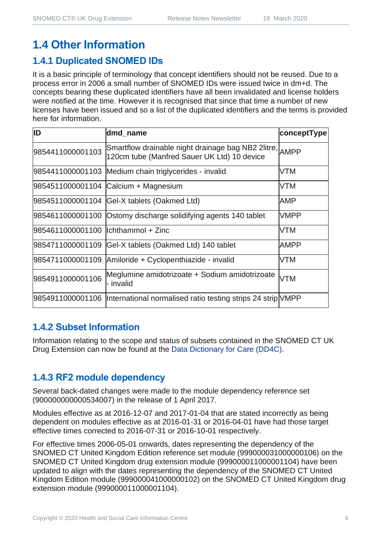## **1.4.1 Duplicated SNOMED IDs**

It is a basic principle of terminology that concept identifiers should not be reused. Due to a process error in 2006 a small number of SNOMED IDs were issued twice in dm+d. The concepts bearing these duplicated identifiers have all been invalidated and license holders were notified at the time. However it is recognised that since that time a number of new licenses have been issued and so a list of the duplicated identifiers and the terms is provided here for information.

| ID                                  | dmd_name                                                                                               | conceptType |
|-------------------------------------|--------------------------------------------------------------------------------------------------------|-------------|
| 9854411000001103                    | Smartflow drainable night drainage bag NB2 2litre, AMPP<br>120cm tube (Manfred Sauer UK Ltd) 10 device |             |
|                                     | 9854411000001103 Medium chain triglycerides - invalid                                                  | <b>VTM</b>  |
|                                     | 9854511000001104 Calcium + Magnesium                                                                   | <b>VTM</b>  |
|                                     | 9854511000001104 Gel-X tablets (Oakmed Ltd)                                                            | AMP         |
|                                     | 9854611000001100 Ostomy discharge solidifying agents 140 tablet                                        | <b>VMPP</b> |
| 9854611000001100 llchthammol + Zinc |                                                                                                        | <b>VTM</b>  |
| 9854711000001109                    | Gel-X tablets (Oakmed Ltd) 140 tablet                                                                  | <b>AMPP</b> |
| 9854711000001109                    | Amiloride + Cyclopenthiazide - invalid                                                                 | <b>VTM</b>  |
| 9854911000001106                    | Meglumine amidotrizoate + Sodium amidotrizoate<br>- invalid                                            | <b>VTM</b>  |
|                                     | 9854911000001106  International normalised ratio testing strips 24 strip VMPP                          |             |

#### **1.4.2 Subset Information**

Information relating to the scope and status of subsets contained in the SNOMED CT UK Drug Extension can now be found at the [Data Dictionary for Care \(DD4C\).](https://dd4c.digital.nhs.uk/dd4c/)

#### **1.4.3 RF2 module dependency**

Several back-dated changes were made to the module dependency reference set (900000000000534007) in the release of 1 April 2017.

Modules effective as at 2016-12-07 and 2017-01-04 that are stated incorrectly as being dependent on modules effective as at 2016-01-31 or 2016-04-01 have had those target effective times corrected to 2016-07-31 or 2016-10-01 respectively.

For effective times 2006-05-01 onwards, dates representing the dependency of the SNOMED CT United Kingdom Edition reference set module (999000031000000106) on the SNOMED CT United Kingdom drug extension module (999000011000001104) have been updated to align with the dates representing the dependency of the SNOMED CT United Kingdom Edition module (999000041000000102) on the SNOMED CT United Kingdom drug extension module (999000011000001104).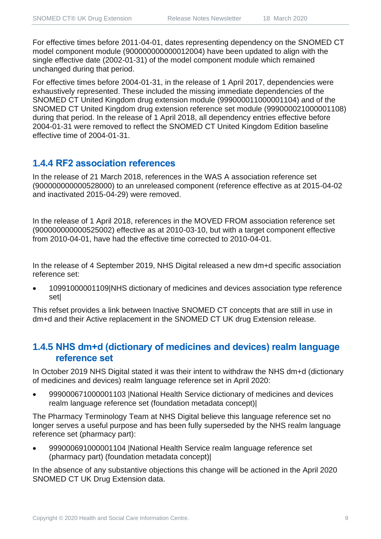For effective times before 2011-04-01, dates representing dependency on the SNOMED CT model component module (900000000000012004) have been updated to align with the single effective date (2002-01-31) of the model component module which remained unchanged during that period.

For effective times before 2004-01-31, in the release of 1 April 2017, dependencies were exhaustively represented. These included the missing immediate dependencies of the SNOMED CT United Kingdom drug extension module (999000011000001104) and of the SNOMED CT United Kingdom drug extension reference set module (999000021000001108) during that period. In the release of 1 April 2018, all dependency entries effective before 2004-01-31 were removed to reflect the SNOMED CT United Kingdom Edition baseline effective time of 2004-01-31.

#### **1.4.4 RF2 association references**

In the release of 21 March 2018, references in the WAS A association reference set (900000000000528000) to an unreleased component (reference effective as at 2015-04-02 and inactivated 2015-04-29) were removed.

In the release of 1 April 2018, references in the MOVED FROM association reference set (900000000000525002) effective as at 2010-03-10, but with a target component effective from 2010-04-01, have had the effective time corrected to 2010-04-01.

In the release of 4 September 2019, NHS Digital released a new dm+d specific association reference set:

• 10991000001109|NHS dictionary of medicines and devices association type reference set|

This refset provides a link between Inactive SNOMED CT concepts that are still in use in dm+d and their Active replacement in the SNOMED CT UK drug Extension release.

#### **1.4.5 NHS dm+d (dictionary of medicines and devices) realm language reference set**

In October 2019 NHS Digital stated it was their intent to withdraw the NHS dm+d (dictionary of medicines and devices) realm language reference set in April 2020:

• 999000671000001103 |National Health Service dictionary of medicines and devices realm language reference set (foundation metadata concept)|

The Pharmacy Terminology Team at NHS Digital believe this language reference set no longer serves a useful purpose and has been fully superseded by the NHS realm language reference set (pharmacy part):

• 999000691000001104 |National Health Service realm language reference set (pharmacy part) (foundation metadata concept)|

In the absence of any substantive objections this change will be actioned in the April 2020 SNOMED CT UK Drug Extension data.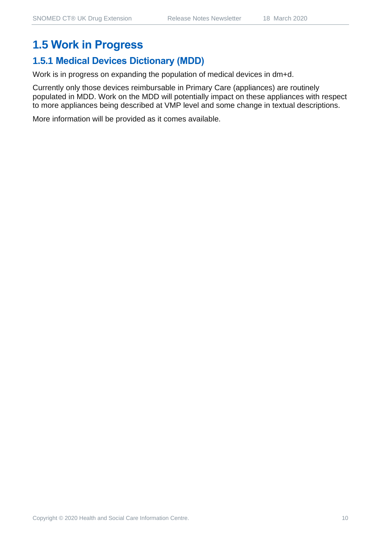## **1.5 Work in Progress**

## **1.5.1 Medical Devices Dictionary (MDD)**

Work is in progress on expanding the population of medical devices in dm+d.

Currently only those devices reimbursable in Primary Care (appliances) are routinely populated in MDD. Work on the MDD will potentially impact on these appliances with respect to more appliances being described at VMP level and some change in textual descriptions.

More information will be provided as it comes available.